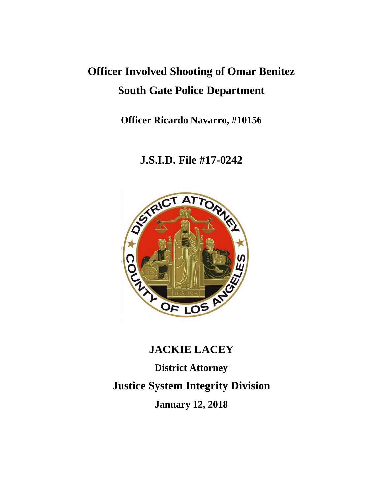# **Officer Involved Shooting of Omar Benitez South Gate Police Department**

**Officer Ricardo Navarro, #10156**

# **J.S.I.D. File #17-0242**



# **JACKIE LACEY**

**District Attorney Justice System Integrity Division January 12, 2018**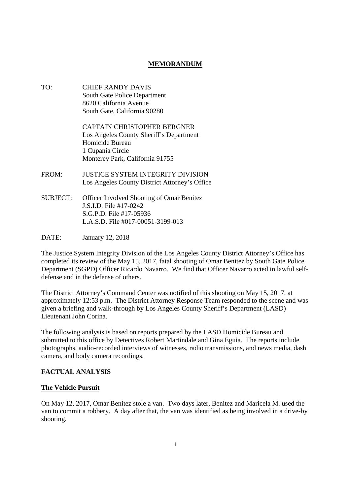# **MEMORANDUM**

TO: CHIEF RANDY DAVIS South Gate Police Department 8620 California Avenue South Gate, California 90280

> CAPTAIN CHRISTOPHER BERGNER Los Angeles County Sheriff's Department Homicide Bureau 1 Cupania Circle Monterey Park, California 91755

- FROM: JUSTICE SYSTEM INTEGRITY DIVISION Los Angeles County District Attorney's Office
- SUBJECT: Officer Involved Shooting of Omar Benitez J.S.I.D. File #17-0242 S.G.P.D. File #17-05936 L.A.S.D. File #017-00051-3199-013
- DATE: January 12, 2018

The Justice System Integrity Division of the Los Angeles County District Attorney's Office has completed its review of the May 15, 2017, fatal shooting of Omar Benitez by South Gate Police Department (SGPD) Officer Ricardo Navarro. We find that Officer Navarro acted in lawful selfdefense and in the defense of others.

The District Attorney's Command Center was notified of this shooting on May 15, 2017, at approximately 12:53 p.m. The District Attorney Response Team responded to the scene and was given a briefing and walk-through by Los Angeles County Sheriff's Department (LASD) Lieutenant John Corina.

The following analysis is based on reports prepared by the LASD Homicide Bureau and submitted to this office by Detectives Robert Martindale and Gina Eguia. The reports include photographs, audio-recorded interviews of witnesses, radio transmissions, and news media, dash camera, and body camera recordings.

# **FACTUAL ANALYSIS**

#### **The Vehicle Pursuit**

On May 12, 2017, Omar Benitez stole a van. Two days later, Benitez and Maricela M. used the van to commit a robbery. A day after that, the van was identified as being involved in a drive-by shooting.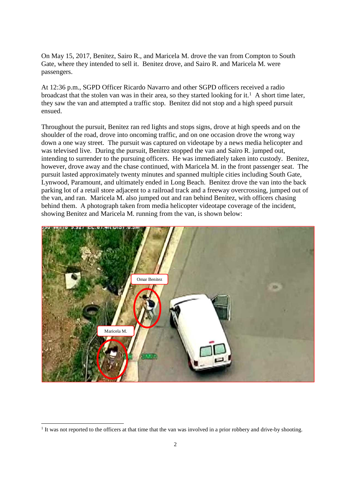On May 15, 2017, Benitez, Sairo R., and Maricela M. drove the van from Compton to South Gate, where they intended to sell it. Benitez drove, and Sairo R. and Maricela M. were passengers.

At 12:36 p.m., SGPD Officer Ricardo Navarro and other SGPD officers received a radio broadcast that the stolen van was in their area, so they started looking for it.<sup>1</sup> A short time later, they saw the van and attempted a traffic stop. Benitez did not stop and a high speed pursuit ensued.

Throughout the pursuit, Benitez ran red lights and stops signs, drove at high speeds and on the shoulder of the road, drove into oncoming traffic, and on one occasion drove the wrong way down a one way street. The pursuit was captured on videotape by a news media helicopter and was televised live. During the pursuit, Benitez stopped the van and Sairo R. jumped out, intending to surrender to the pursuing officers. He was immediately taken into custody. Benitez, however, drove away and the chase continued, with Maricela M. in the front passenger seat. The pursuit lasted approximately twenty minutes and spanned multiple cities including South Gate, Lynwood, Paramount, and ultimately ended in Long Beach. Benitez drove the van into the back parking lot of a retail store adjacent to a railroad track and a freeway overcrossing, jumped out of the van, and ran. Maricela M. also jumped out and ran behind Benitez, with officers chasing behind them. A photograph taken from media helicopter videotape coverage of the incident, showing Benitez and Maricela M. running from the van, is shown below:



<sup>1</sup> It was not reported to the officers at that time that the van was involved in a prior robbery and drive-by shooting.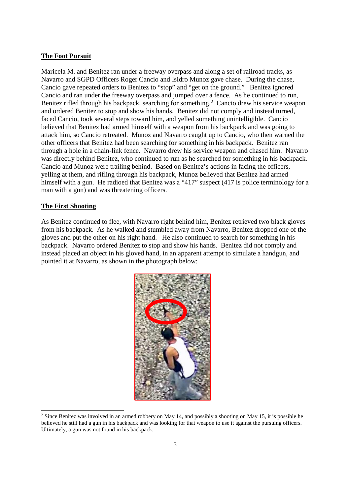#### **The Foot Pursuit**

Maricela M. and Benitez ran under a freeway overpass and along a set of railroad tracks, as Navarro and SGPD Officers Roger Cancio and Isidro Munoz gave chase. During the chase, Cancio gave repeated orders to Benitez to "stop" and "get on the ground." Benitez ignored Cancio and ran under the freeway overpass and jumped over a fence. As he continued to run, Benitez rifled through his backpack, searching for something.<sup>2</sup> Cancio drew his service weapon and ordered Benitez to stop and show his hands. Benitez did not comply and instead turned, faced Cancio, took several steps toward him, and yelled something unintelligible. Cancio believed that Benitez had armed himself with a weapon from his backpack and was going to attack him, so Cancio retreated. Munoz and Navarro caught up to Cancio, who then warned the other officers that Benitez had been searching for something in his backpack. Benitez ran through a hole in a chain-link fence. Navarro drew his service weapon and chased him. Navarro was directly behind Benitez, who continued to run as he searched for something in his backpack. Cancio and Munoz were trailing behind. Based on Benitez's actions in facing the officers, yelling at them, and rifling through his backpack, Munoz believed that Benitez had armed himself with a gun. He radioed that Benitez was a "417" suspect (417 is police terminology for a man with a gun) and was threatening officers.

#### **The First Shooting**

As Benitez continued to flee, with Navarro right behind him, Benitez retrieved two black gloves from his backpack. As he walked and stumbled away from Navarro, Benitez dropped one of the gloves and put the other on his right hand. He also continued to search for something in his backpack. Navarro ordered Benitez to stop and show his hands. Benitez did not comply and instead placed an object in his gloved hand, in an apparent attempt to simulate a handgun, and pointed it at Navarro, as shown in the photograph below:



<sup>&</sup>lt;sup>2</sup> Since Benitez was involved in an armed robbery on May 14, and possibly a shooting on May 15, it is possible he believed he still had a gun in his backpack and was looking for that weapon to use it against the pursuing officers. Ultimately, a gun was not found in his backpack.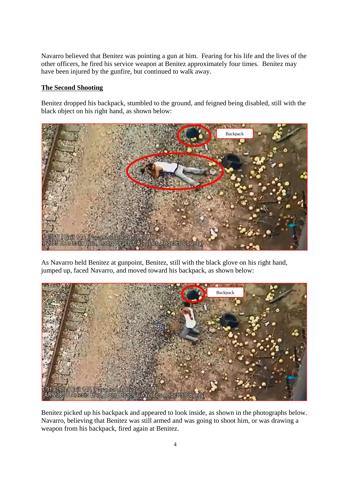Navarro believed that Benitez was pointing a gun at him. Fearing for his life and the lives of the other officers, he fired his service weapon at Benitez approximately four times. Benitez may have been injured by the gunfire, but continued to walk away.

### **The Second Shooting**

Benitez dropped his backpack, stumbled to the ground, and feigned being disabled, still with the black object on his right hand, as shown below:



As Navarro held Benitez at gunpoint, Benitez, still with the black glove on his right hand, jumped up, faced Navarro, and moved toward his backpack, as shown below:



Benitez picked up his backpack and appeared to look inside, as shown in the photographs below. Navarro, believing that Benitez was still armed and was going to shoot him, or was drawing a weapon from his backpack, fired again at Benitez.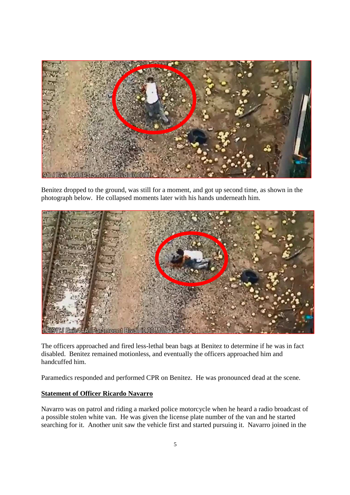

Benitez dropped to the ground, was still for a moment, and got up second time, as shown in the photograph below. He collapsed moments later with his hands underneath him.



The officers approached and fired less-lethal bean bags at Benitez to determine if he was in fact disabled. Benitez remained motionless, and eventually the officers approached him and handcuffed him.

Paramedics responded and performed CPR on Benitez. He was pronounced dead at the scene.

# **Statement of Officer Ricardo Navarro**

Navarro was on patrol and riding a marked police motorcycle when he heard a radio broadcast of a possible stolen white van. He was given the license plate number of the van and he started searching for it. Another unit saw the vehicle first and started pursuing it. Navarro joined in the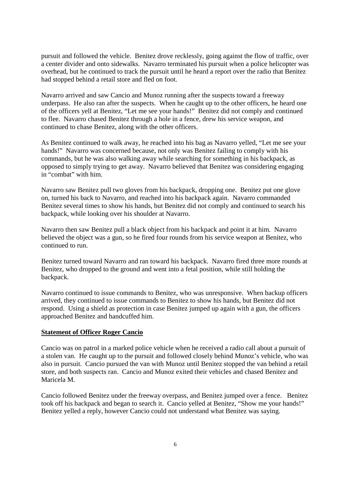pursuit and followed the vehicle. Benitez drove recklessly, going against the flow of traffic, over a center divider and onto sidewalks. Navarro terminated his pursuit when a police helicopter was overhead, but he continued to track the pursuit until he heard a report over the radio that Benitez had stopped behind a retail store and fled on foot.

Navarro arrived and saw Cancio and Munoz running after the suspects toward a freeway underpass. He also ran after the suspects. When he caught up to the other officers, he heard one of the officers yell at Benitez, "Let me see your hands!" Benitez did not comply and continued to flee. Navarro chased Benitez through a hole in a fence, drew his service weapon, and continued to chase Benitez, along with the other officers.

As Benitez continued to walk away, he reached into his bag as Navarro yelled, "Let me see your hands!" Navarro was concerned because, not only was Benitez failing to comply with his commands, but he was also walking away while searching for something in his backpack, as opposed to simply trying to get away. Navarro believed that Benitez was considering engaging in "combat" with him.

Navarro saw Benitez pull two gloves from his backpack, dropping one. Benitez put one glove on, turned his back to Navarro, and reached into his backpack again. Navarro commanded Benitez several times to show his hands, but Benitez did not comply and continued to search his backpack, while looking over his shoulder at Navarro.

Navarro then saw Benitez pull a black object from his backpack and point it at him. Navarro believed the object was a gun, so he fired four rounds from his service weapon at Benitez, who continued to run.

Benitez turned toward Navarro and ran toward his backpack. Navarro fired three more rounds at Benitez, who dropped to the ground and went into a fetal position, while still holding the backpack.

Navarro continued to issue commands to Benitez, who was unresponsive. When backup officers arrived, they continued to issue commands to Benitez to show his hands, but Benitez did not respond. Using a shield as protection in case Benitez jumped up again with a gun, the officers approached Benitez and handcuffed him.

#### **Statement of Officer Roger Cancio**

Cancio was on patrol in a marked police vehicle when he received a radio call about a pursuit of a stolen van. He caught up to the pursuit and followed closely behind Munoz's vehicle, who was also in pursuit. Cancio pursued the van with Munoz until Benitez stopped the van behind a retail store, and both suspects ran. Cancio and Munoz exited their vehicles and chased Benitez and Maricela M.

Cancio followed Benitez under the freeway overpass, and Benitez jumped over a fence. Benitez took off his backpack and began to search it. Cancio yelled at Benitez, "Show me your hands!" Benitez yelled a reply, however Cancio could not understand what Benitez was saying.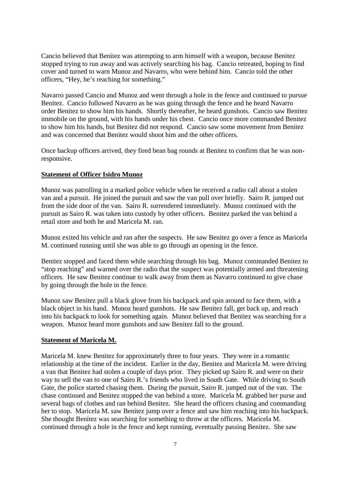Cancio believed that Benitez was attempting to arm himself with a weapon, because Benitez stopped trying to run away and was actively searching his bag. Cancio retreated, hoping to find cover and turned to warn Munoz and Navarro, who were behind him. Cancio told the other officers, "Hey, he's reaching for something."

Navarro passed Cancio and Munoz and went through a hole in the fence and continued to pursue Benitez. Cancio followed Navarro as he was going through the fence and he heard Navarro order Benitez to show him his hands. Shortly thereafter, he heard gunshots. Cancio saw Benitez immobile on the ground, with his hands under his chest. Cancio once more commanded Benitez to show him his hands, but Benitez did not respond. Cancio saw some movement from Benitez and was concerned that Benitez would shoot him and the other officers.

Once backup officers arrived, they fired bean bag rounds at Benitez to confirm that he was nonresponsive.

#### **Statement of Officer Isidro Munoz**

Munoz was patrolling in a marked police vehicle when he received a radio call about a stolen van and a pursuit. He joined the pursuit and saw the van pull over briefly. Sairo R. jumped out from the side door of the van. Sairo R. surrendered immediately. Munoz continued with the pursuit as Sairo R. was taken into custody by other officers. Benitez parked the van behind a retail store and both he and Maricela M. ran.

Munoz exited his vehicle and ran after the suspects. He saw Benitez go over a fence as Maricela M. continued running until she was able to go through an opening in the fence.

Benitez stopped and faced them while searching through his bag. Munoz commanded Benitez to "stop reaching" and warned over the radio that the suspect was potentially armed and threatening officers. He saw Benitez continue to walk away from them as Navarro continued to give chase by going through the hole in the fence.

Munoz saw Benitez pull a black glove from his backpack and spin around to face them, with a black object in his hand. Munoz heard gunshots. He saw Benitez fall, get back up, and reach into his backpack to look for something again. Munoz believed that Benitez was searching for a weapon. Munoz heard more gunshots and saw Benitez fall to the ground.

#### **Statement of Maricela M.**

Maricela M. knew Benitez for approximately three to four years. They were in a romantic relationship at the time of the incident. Earlier in the day, Benitez and Maricela M. were driving a van that Benitez had stolen a couple of days prior. They picked up Sairo R. and were on their way to sell the van to one of Sairo R.'s friends who lived in South Gate. While driving to South Gate, the police started chasing them. During the pursuit, Sairo R. jumped out of the van. The chase continued and Benitez stopped the van behind a store. Maricela M. grabbed her purse and several bags of clothes and ran behind Benitez. She heard the officers chasing and commanding her to stop. Maricela M. saw Benitez jump over a fence and saw him reaching into his backpack. She thought Benitez was searching for something to throw at the officers. Maricela M. continued through a hole in the fence and kept running, eventually passing Benitez. She saw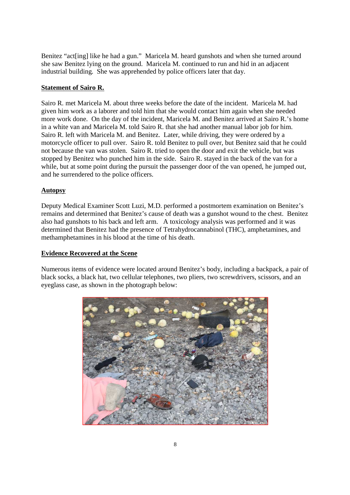Benitez "act[ing] like he had a gun." Maricela M. heard gunshots and when she turned around she saw Benitez lying on the ground. Maricela M. continued to run and hid in an adjacent industrial building. She was apprehended by police officers later that day.

# **Statement of Sairo R.**

Sairo R. met Maricela M. about three weeks before the date of the incident. Maricela M. had given him work as a laborer and told him that she would contact him again when she needed more work done. On the day of the incident, Maricela M. and Benitez arrived at Sairo R.'s home in a white van and Maricela M. told Sairo R. that she had another manual labor job for him. Sairo R. left with Maricela M. and Benitez. Later, while driving, they were ordered by a motorcycle officer to pull over. Sairo R. told Benitez to pull over, but Benitez said that he could not because the van was stolen. Sairo R. tried to open the door and exit the vehicle, but was stopped by Benitez who punched him in the side. Sairo R. stayed in the back of the van for a while, but at some point during the pursuit the passenger door of the van opened, he jumped out, and he surrendered to the police officers.

# **Autopsy**

Deputy Medical Examiner Scott Luzi, M.D. performed a postmortem examination on Benitez's remains and determined that Benitez's cause of death was a gunshot wound to the chest. Benitez also had gunshots to his back and left arm. A toxicology analysis was performed and it was determined that Benitez had the presence of Tetrahydrocannabinol (THC), amphetamines, and methamphetamines in his blood at the time of his death.

#### **Evidence Recovered at the Scene**

Numerous items of evidence were located around Benitez's body, including a backpack, a pair of black socks, a black hat, two cellular telephones, two pliers, two screwdrivers, scissors, and an eyeglass case, as shown in the photograph below:

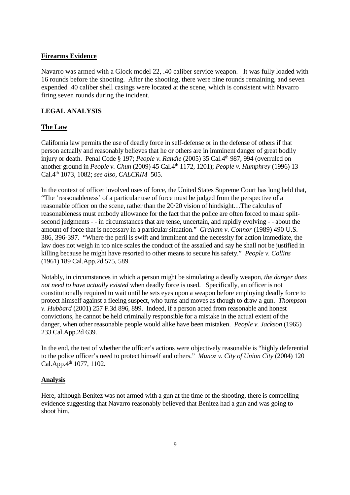### **Firearms Evidence**

Navarro was armed with a Glock model 22, .40 caliber service weapon. It was fully loaded with 16 rounds before the shooting. After the shooting, there were nine rounds remaining, and seven expended .40 caliber shell casings were located at the scene, which is consistent with Navarro firing seven rounds during the incident.

# **LEGAL ANALYSIS**

# **The Law**

California law permits the use of deadly force in self-defense or in the defense of others if that person actually and reasonably believes that he or others are in imminent danger of great bodily injury or death. Penal Code § 197; *People v. Randle* (2005) 35 Cal.4<sup>th</sup> 987, 994 (overruled on another ground in *People v. Chun* (2009) 45 Cal.4th 1172, 1201); *People v. Humphrey* (1996) 13 Cal.4th 1073, 1082; *see also, CALCRIM* 505.

In the context of officer involved uses of force, the United States Supreme Court has long held that, "The 'reasonableness' of a particular use of force must be judged from the perspective of a reasonable officer on the scene, rather than the 20/20 vision of hindsight…The calculus of reasonableness must embody allowance for the fact that the police are often forced to make splitsecond judgments - - in circumstances that are tense, uncertain, and rapidly evolving - - about the amount of force that is necessary in a particular situation." *Graham v. Connor* (1989) 490 U.S. 386, 396-397. "Where the peril is swift and imminent and the necessity for action immediate, the law does not weigh in too nice scales the conduct of the assailed and say he shall not be justified in killing because he might have resorted to other means to secure his safety." *People v. Collins* (1961) 189 Cal.App.2d 575, 589.

Notably, in circumstances in which a person might be simulating a deadly weapon, *the danger does not need to have actually existed* when deadly force is used. Specifically, an officer is not constitutionally required to wait until he sets eyes upon a weapon before employing deadly force to protect himself against a fleeing suspect, who turns and moves as though to draw a gun. *Thompson v. Hubbard* (2001) 257 F.3d 896, 899. Indeed, if a person acted from reasonable and honest convictions, he cannot be held criminally responsible for a mistake in the actual extent of the danger, when other reasonable people would alike have been mistaken. *People v. Jackson* (1965) 233 Cal.App.2d 639.

In the end, the test of whether the officer's actions were objectively reasonable is "highly deferential to the police officer's need to protect himself and others." *Munoz v. City of Union City* (2004) 120 Cal.App.4<sup>th</sup> 1077, 1102.

# **Analysis**

Here, although Benitez was not armed with a gun at the time of the shooting, there is compelling evidence suggesting that Navarro reasonably believed that Benitez had a gun and was going to shoot him.